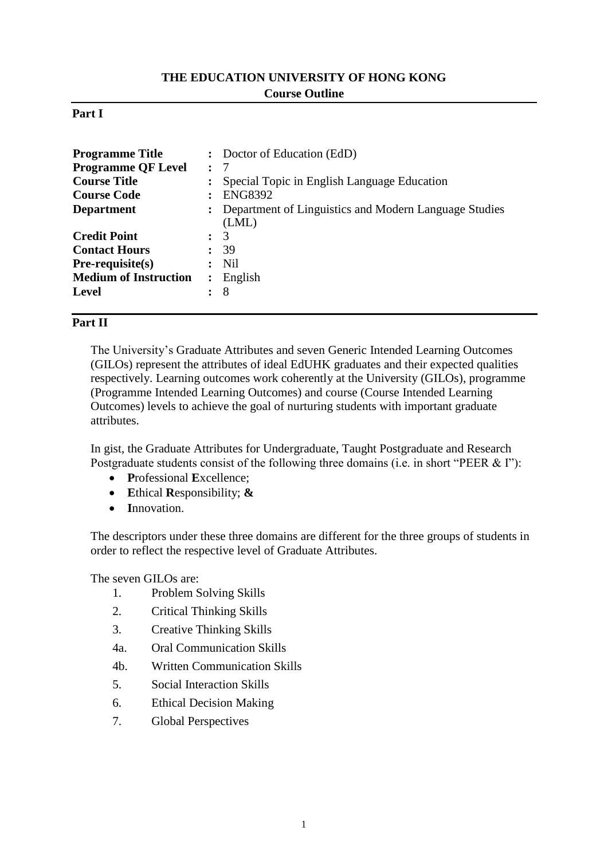# **THE EDUCATION UNIVERSITY OF HONG KONG Course Outline**

#### **Part I**

| <b>Programme Title</b>       |              | : Doctor of Education (EdD)                                      |
|------------------------------|--------------|------------------------------------------------------------------|
| <b>Programme QF Level</b>    | $\mathbf{r}$ | -7                                                               |
| <b>Course Title</b>          |              | Special Topic in English Language Education                      |
| <b>Course Code</b>           |              | <b>ENG8392</b>                                                   |
| <b>Department</b>            |              | : Department of Linguistics and Modern Language Studies<br>(LML) |
| <b>Credit Point</b>          |              | 3                                                                |
| <b>Contact Hours</b>         |              | -39                                                              |
| $Pre-requisite(s)$           |              | $:$ Nil                                                          |
| <b>Medium of Instruction</b> |              | English                                                          |
| <b>Level</b>                 |              | 8                                                                |

### **Part II**

The University's Graduate Attributes and seven Generic Intended Learning Outcomes (GILOs) represent the attributes of ideal EdUHK graduates and their expected qualities respectively. Learning outcomes work coherently at the University (GILOs), programme (Programme Intended Learning Outcomes) and course (Course Intended Learning Outcomes) levels to achieve the goal of nurturing students with important graduate attributes.

In gist, the Graduate Attributes for Undergraduate, Taught Postgraduate and Research Postgraduate students consist of the following three domains (i.e. in short "PEER & I"):

- **P**rofessional **E**xcellence;
- **E**thical **R**esponsibility; **&**
- **I**nnovation.

The descriptors under these three domains are different for the three groups of students in order to reflect the respective level of Graduate Attributes.

The seven GILOs are:

- 1. Problem Solving Skills
- 2. Critical Thinking Skills
- 3. Creative Thinking Skills
- 4a. Oral Communication Skills
- 4b. Written Communication Skills
- 5. Social Interaction Skills
- 6. Ethical Decision Making
- 7. Global Perspectives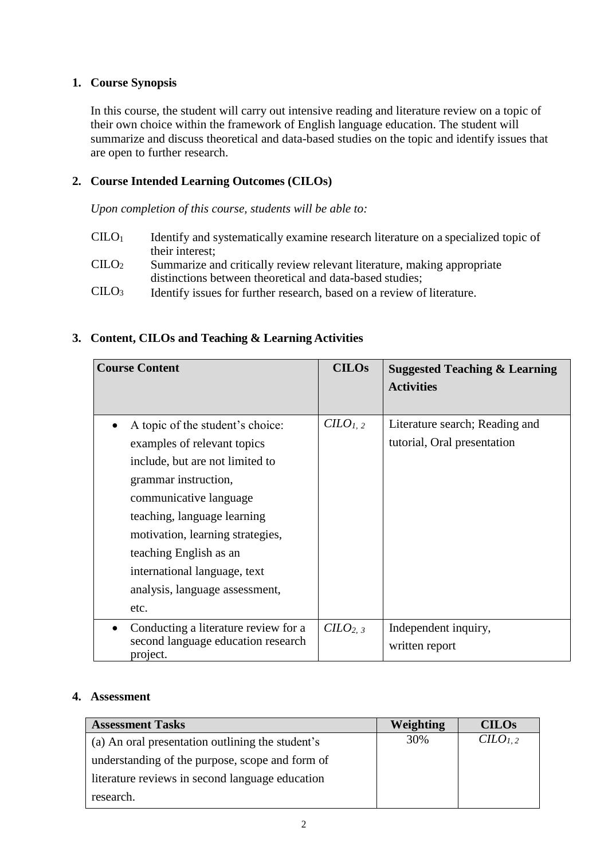### **1. Course Synopsis**

In this course, the student will carry out intensive reading and literature review on a topic of their own choice within the framework of English language education. The student will summarize and discuss theoretical and data-based studies on the topic and identify issues that are open to further research.

## **2. Course Intended Learning Outcomes (CILOs)**

*Upon completion of this course, students will be able to:*

- CILO<sup>1</sup> Identify and systematically examine research literature on a specialized topic of their interest;
- CILO<sup>2</sup> Summarize and critically review relevant literature, making appropriate distinctions between theoretical and data-based studies;
- CILO<sup>3</sup> Identify issues for further research, based on a review of literature.

# **3. Content, CILOs and Teaching & Learning Activities**

| <b>Course Content</b>                                                                               | <b>CILOs</b>                | <b>Suggested Teaching &amp; Learning</b><br><b>Activities</b> |
|-----------------------------------------------------------------------------------------------------|-----------------------------|---------------------------------------------------------------|
| A topic of the student's choice:                                                                    | C <i>LO</i> <sub>1, 2</sub> | Literature search; Reading and                                |
| examples of relevant topics                                                                         |                             | tutorial, Oral presentation                                   |
| include, but are not limited to                                                                     |                             |                                                               |
| grammar instruction,                                                                                |                             |                                                               |
| communicative language                                                                              |                             |                                                               |
| teaching, language learning                                                                         |                             |                                                               |
| motivation, learning strategies,                                                                    |                             |                                                               |
| teaching English as an                                                                              |                             |                                                               |
| international language, text                                                                        |                             |                                                               |
| analysis, language assessment,                                                                      |                             |                                                               |
| etc.                                                                                                |                             |                                                               |
| Conducting a literature review for a<br>$\bullet$<br>second language education research<br>project. | CILO <sub>2, 3</sub>        | Independent inquiry,<br>written report                        |

#### **4. Assessment**

| <b>Assessment Tasks</b>                          | Weighting | <b>CILOS</b>                    |
|--------------------------------------------------|-----------|---------------------------------|
| (a) An oral presentation outlining the student's | 30%       | C <sub>L</sub> O <sub>L,2</sub> |
| understanding of the purpose, scope and form of  |           |                                 |
| literature reviews in second language education  |           |                                 |
| research.                                        |           |                                 |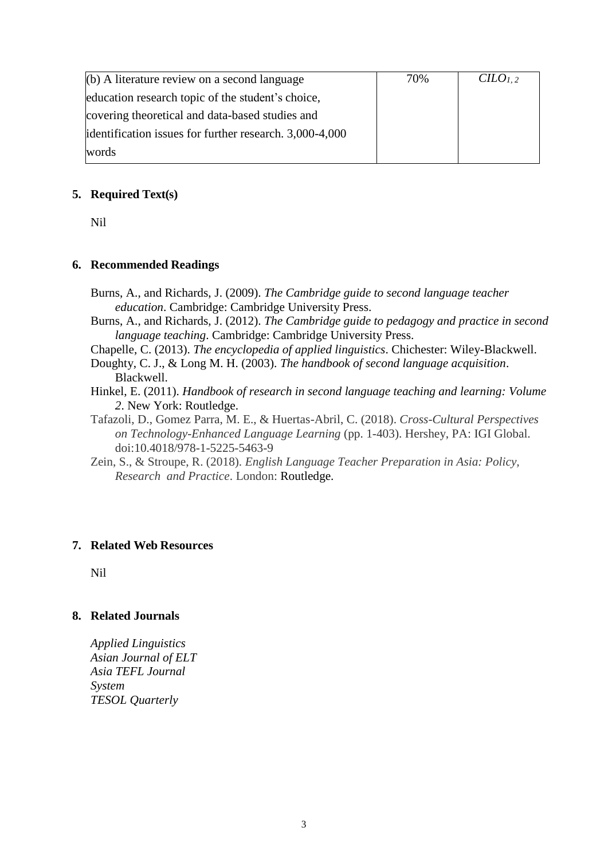| $(b)$ A literature review on a second language          | 70% | CILO <sub>1.2</sub> |
|---------------------------------------------------------|-----|---------------------|
| education research topic of the student's choice,       |     |                     |
| covering theoretical and data-based studies and         |     |                     |
| identification issues for further research. 3,000-4,000 |     |                     |
| words                                                   |     |                     |

### **5. Required Text(s)**

Nil

### **6. Recommended Readings**

- Burns, A., and Richards, J. (2009). *The Cambridge guide to second language teacher education*. Cambridge: Cambridge University Press.
- Burns, A., and Richards, J. (2012). *The Cambridge guide to pedagogy and practice in second language teaching*. Cambridge: Cambridge University Press.
- Chapelle, C. (2013). *The encyclopedia of applied linguistics*. Chichester: Wiley-Blackwell.
- Doughty, C. J., & Long M. H. (2003). *The handbook of second language acquisition*. Blackwell.
- Hinkel, E. (2011). *Handbook of research in second language teaching and learning: Volume 2*. New York: Routledge.
- Tafazoli, D., Gomez Parra, M. E., & Huertas-Abril, C. (2018). *Cross-Cultural Perspectives on Technology-Enhanced Language Learning* (pp. 1-403). Hershey, PA: IGI Global. doi:10.4018/978-1-5225-5463-9
- Zein, S., & Stroupe, R. (2018). *English Language Teacher Preparation in Asia: Policy, Research and Practice*. London: Routledge.

#### **7. Related Web Resources**

Nil

#### **8. Related Journals**

*Applied Linguistics Asian Journal of ELT Asia TEFL Journal System TESOL Quarterly*